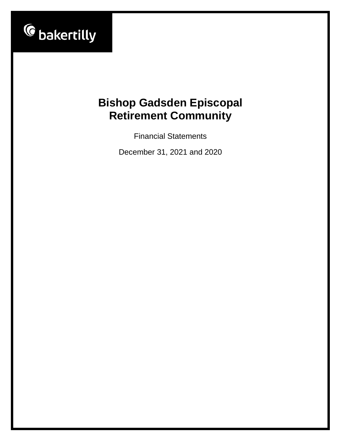

Financial Statements

December 31, 2021 and 2020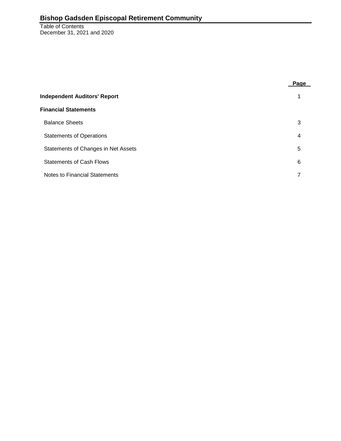Table of Contents December 31, 2021 and 2020

|                                     | Page |
|-------------------------------------|------|
| <b>Independent Auditors' Report</b> |      |
| <b>Financial Statements</b>         |      |
| <b>Balance Sheets</b>               | 3    |
| <b>Statements of Operations</b>     | 4    |
| Statements of Changes in Net Assets | 5    |
| <b>Statements of Cash Flows</b>     | 6    |
| Notes to Financial Statements       |      |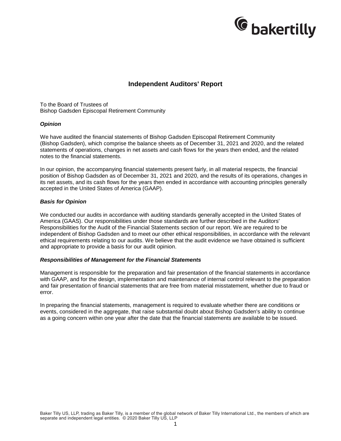

# **Independent Auditors' Report**

To the Board of Trustees of Bishop Gadsden Episcopal Retirement Community

#### *Opinion*

We have audited the financial statements of Bishop Gadsden Episcopal Retirement Community (Bishop Gadsden), which comprise the balance sheets as of December 31, 2021 and 2020, and the related statements of operations, changes in net assets and cash flows for the years then ended, and the related notes to the financial statements.

In our opinion, the accompanying financial statements present fairly, in all material respects, the financial position of Bishop Gadsden as of December 31, 2021 and 2020, and the results of its operations, changes in its net assets, and its cash flows for the years then ended in accordance with accounting principles generally accepted in the United States of America (GAAP).

#### *Basis for Opinion*

We conducted our audits in accordance with auditing standards generally accepted in the United States of America (GAAS). Our responsibilities under those standards are further described in the Auditors' Responsibilities for the Audit of the Financial Statements section of our report. We are required to be independent of Bishop Gadsden and to meet our other ethical responsibilities, in accordance with the relevant ethical requirements relating to our audits. We believe that the audit evidence we have obtained is sufficient and appropriate to provide a basis for our audit opinion.

#### *Responsibilities of Management for the Financial Statements*

Management is responsible for the preparation and fair presentation of the financial statements in accordance with GAAP, and for the design, implementation and maintenance of internal control relevant to the preparation and fair presentation of financial statements that are free from material misstatement, whether due to fraud or error.

In preparing the financial statements, management is required to evaluate whether there are conditions or events, considered in the aggregate, that raise substantial doubt about Bishop Gadsden's ability to continue as a going concern within one year after the date that the financial statements are available to be issued.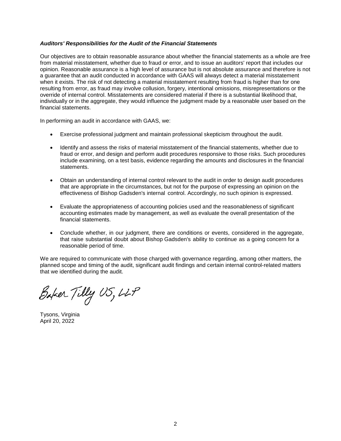#### *Auditors' Responsibilities for the Audit of the Financial Statements*

Our objectives are to obtain reasonable assurance about whether the financial statements as a whole are free from material misstatement, whether due to fraud or error, and to issue an auditors' report that includes our opinion. Reasonable assurance is a high level of assurance but is not absolute assurance and therefore is not a guarantee that an audit conducted in accordance with GAAS will always detect a material misstatement when it exists. The risk of not detecting a material misstatement resulting from fraud is higher than for one resulting from error, as fraud may involve collusion, forgery, intentional omissions, misrepresentations or the override of internal control. Misstatements are considered material if there is a substantial likelihood that, individually or in the aggregate, they would influence the judgment made by a reasonable user based on the financial statements.

In performing an audit in accordance with GAAS, we:

- Exercise professional judgment and maintain professional skepticism throughout the audit.
- Identify and assess the risks of material misstatement of the financial statements, whether due to fraud or error, and design and perform audit procedures responsive to those risks. Such procedures include examining, on a test basis, evidence regarding the amounts and disclosures in the financial statements.
- Obtain an understanding of internal control relevant to the audit in order to design audit procedures that are appropriate in the circumstances, but not for the purpose of expressing an opinion on the effectiveness of Bishop Gadsden's internal control. Accordingly, no such opinion is expressed.
- Evaluate the appropriateness of accounting policies used and the reasonableness of significant accounting estimates made by management, as well as evaluate the overall presentation of the financial statements.
- Conclude whether, in our judgment, there are conditions or events, considered in the aggregate, that raise substantial doubt about Bishop Gadsden's ability to continue as a going concern for a reasonable period of time.

We are required to communicate with those charged with governance regarding, among other matters, the planned scope and timing of the audit, significant audit findings and certain internal control-related matters that we identified during the audit.

Baker Tilly US, LLP

Tysons, Virginia April 20, 2022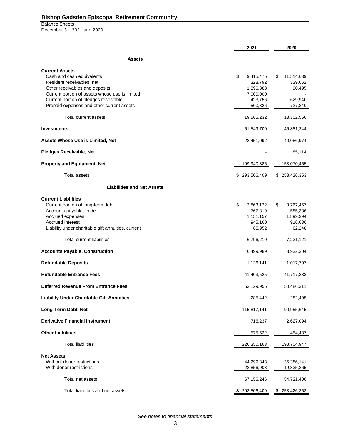Balance Sheets December 31, 2021 and 2020

|                                                                                                                                                                                                                                                           | 2021                                                                       | 2020                                                         |
|-----------------------------------------------------------------------------------------------------------------------------------------------------------------------------------------------------------------------------------------------------------|----------------------------------------------------------------------------|--------------------------------------------------------------|
| <b>Assets</b>                                                                                                                                                                                                                                             |                                                                            |                                                              |
| <b>Current Assets</b><br>Cash and cash equivalents<br>Resident receivables, net<br>Other receivables and deposits<br>Current portion of assets whose use is limited<br>Current portion of pledges receivable<br>Prepaid expenses and other current assets | \$<br>9,415,475<br>328,792<br>1,896,883<br>7,000,000<br>423,756<br>500,326 | 11,514,639<br>\$<br>339,652<br>90,495<br>629,940<br>727,840  |
| Total current assets                                                                                                                                                                                                                                      | 19,565,232                                                                 | 13,302,566                                                   |
| <b>Investments</b>                                                                                                                                                                                                                                        | 51,549,700                                                                 | 46,881,244                                                   |
| <b>Assets Whose Use is Limited, Net</b>                                                                                                                                                                                                                   | 22,451,092                                                                 | 40,086,974                                                   |
| <b>Pledges Receivable, Net</b>                                                                                                                                                                                                                            |                                                                            | 85,114                                                       |
| <b>Property and Equipment, Net</b>                                                                                                                                                                                                                        | 199,940,385                                                                | 153,070,455                                                  |
| <b>Total assets</b>                                                                                                                                                                                                                                       | \$293,506,409                                                              | \$253,426,353                                                |
| <b>Liabilities and Net Assets</b>                                                                                                                                                                                                                         |                                                                            |                                                              |
| <b>Current Liabilities</b><br>Current portion of long-term debt<br>Accounts payable, trade<br>Accrued expenses<br>Accrued interest<br>Liability under charitable gift annuities, current                                                                  | \$<br>3,863,122<br>767,819<br>1,151,157<br>945,160<br>68,952               | \$<br>3,767,457<br>585,386<br>1,899,394<br>916,636<br>62,248 |
| <b>Total current liabilities</b>                                                                                                                                                                                                                          | 6,796,210                                                                  | 7,231,121                                                    |
| <b>Accounts Payable, Construction</b>                                                                                                                                                                                                                     | 6,499,989                                                                  | 3,932,304                                                    |
| <b>Refundable Deposits</b>                                                                                                                                                                                                                                | 1,126,141                                                                  | 1,017,707                                                    |
| <b>Refundable Entrance Fees</b>                                                                                                                                                                                                                           | 41,403,525                                                                 | 41,717,833                                                   |
| <b>Deferred Revenue From Entrance Fees</b>                                                                                                                                                                                                                | 53,129,956                                                                 | 50,486,311                                                   |
| <b>Liability Under Charitable Gift Annuities</b>                                                                                                                                                                                                          | 285,442                                                                    | 282,495                                                      |
| Long-Term Debt, Net                                                                                                                                                                                                                                       | 115,817,141                                                                | 90,955,645                                                   |
| <b>Derivative Financial Instrument</b>                                                                                                                                                                                                                    | 716,237                                                                    | 2,627,094                                                    |
| <b>Other Liabilities</b>                                                                                                                                                                                                                                  | 575,522                                                                    | 454, 437                                                     |
| <b>Total liabilities</b>                                                                                                                                                                                                                                  | 226,350,163                                                                | 198,704,947                                                  |
| <b>Net Assets</b><br>Without donor restrictions<br>With donor restrictions                                                                                                                                                                                | 44,299,343<br>22,856,903                                                   | 35,386,141<br>19,335,265                                     |
| Total net assets                                                                                                                                                                                                                                          | 67,156,246                                                                 | 54,721,406                                                   |
| Total liabilities and net assets                                                                                                                                                                                                                          | \$293,506,409                                                              | \$253,426,353                                                |

*See notes to financial statements*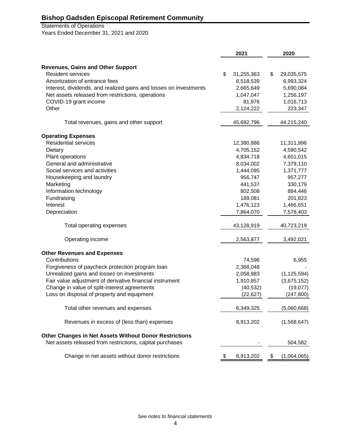# Statements of Operations

Years Ended December 31, 2021 and 2020

|                                                                   | 2021             | 2020              |
|-------------------------------------------------------------------|------------------|-------------------|
|                                                                   |                  |                   |
| <b>Revenues, Gains and Other Support</b>                          |                  |                   |
| <b>Resident services</b>                                          | \$<br>31,255,363 | \$<br>29,035,575  |
| Amortization of entrance fees                                     | 8,518,539        | 6,993,324         |
| Interest, dividends, and realized gains and losses on investments | 2,665,649        | 5,690,084         |
| Net assets released from restrictions, operations                 | 1,047,047        | 1,256,197         |
| COVID-19 grant income                                             | 81,976           | 1,016,713         |
| Other                                                             | 2,124,222        | 223,347           |
| Total revenues, gains and other support                           | 45,692,796       | 44,215,240        |
| <b>Operating Expenses</b>                                         |                  |                   |
| <b>Residential services</b>                                       | 12,380,886       | 11,311,996        |
| Dietary                                                           | 4,705,152        | 4,590,542         |
| Plant operations                                                  | 4,834,718        | 4,651,015         |
| General and administrative                                        | 8,034,002        | 7,379,110         |
| Social services and activities                                    | 1,444,095        | 1,371,777         |
| Housekeeping and laundry                                          | 956,747          | 957,277           |
| Marketing                                                         | 441,537          | 330,179           |
| Information technology                                            | 802,508          | 884,446           |
| Fundraising                                                       | 189,081          | 201,823           |
| Interest                                                          | 1,476,123        | 1,466,651         |
| Depreciation                                                      | 7,864,070        | 7,578,403         |
| Total operating expenses                                          | 43,128,919       | 40,723,219        |
| Operating income                                                  | 2,563,877        | 3,492,021         |
| <b>Other Revenues and Expenses</b>                                |                  |                   |
| Contributions                                                     | 74,596           | 6,955             |
| Forgiveness of paycheck protection program loan                   | 2,368,048        |                   |
| Unrealized gains and losses on investments                        | 2,058,983        | (1, 125, 594)     |
| Fair value adjustment of derivative financial instrument          | 1,910,857        | (3,675,152)       |
| Change in value of split-interest agreements                      | (40, 532)        | (19,077)          |
| Loss on disposal of property and equipment                        | (22, 627)        | (247, 800)        |
| Total other revenues and expenses                                 | 6,349,325        | (5,060,668)       |
| Revenues in excess of (less than) expenses                        | 8,913,202        | (1,568,647)       |
| Other Changes in Net Assets Without Donor Restrictions            |                  |                   |
| Net assets released from restrictions, capital purchases          |                  | 504,582           |
| Change in net assets without donor restrictions                   | \$<br>8,913,202  | \$<br>(1,064,065) |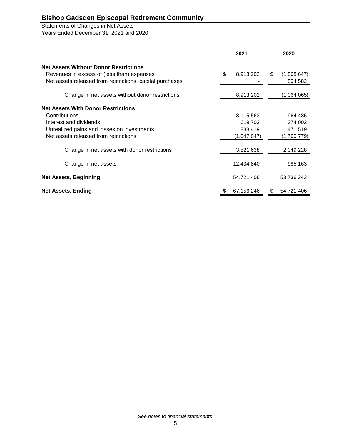# Statements of Changes in Net Assets

Years Ended December 31, 2021 and 2020

|                                                                                                        | 2021             |    | 2020                   |
|--------------------------------------------------------------------------------------------------------|------------------|----|------------------------|
| <b>Net Assets Without Donor Restrictions</b>                                                           |                  |    |                        |
| Revenues in excess of (less than) expenses<br>Net assets released from restrictions, capital purchases | \$<br>8,913,202  | \$ | (1,568,647)<br>504,582 |
| Change in net assets without donor restrictions                                                        | 8,913,202        |    | (1,064,065)            |
| <b>Net Assets With Donor Restrictions</b>                                                              |                  |    |                        |
| Contributions                                                                                          | 3,115,563        |    | 1,964,486              |
| Interest and dividends                                                                                 | 619,703          |    | 374,002                |
| Unrealized gains and losses on investments                                                             | 833,419          |    | 1,471,519              |
| Net assets released from restrictions                                                                  | (1,047,047)      |    | (1,760,779)            |
| Change in net assets with donor restrictions                                                           | 3,521,638        |    | 2,049,228              |
| Change in net assets                                                                                   | 12,434,840       |    | 985,163                |
| <b>Net Assets, Beginning</b>                                                                           | 54,721,406       |    | 53,736,243             |
| <b>Net Assets, Ending</b>                                                                              | \$<br>67,156,246 | S. | 54,721,406             |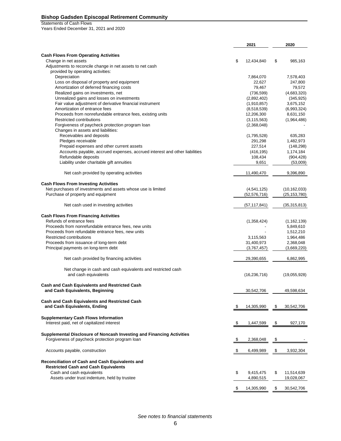Statements of Cash Flows

Years Ended December 31, 2021 and 2020

|                                                                                       | 2021                        | 2020                     |
|---------------------------------------------------------------------------------------|-----------------------------|--------------------------|
| <b>Cash Flows From Operating Activities</b>                                           |                             |                          |
| Change in net assets<br>Adjustments to reconcile change in net assets to net cash     | \$<br>12,434,840            | \$<br>985,163            |
| provided by operating activities:<br>Depreciation                                     | 7,864,070                   | 7,578,403                |
| Loss on disposal of property and equipment                                            | 22,627                      | 247,800                  |
| Amortization of deferred financing costs                                              | 79,467                      | 79,572                   |
| Realized gains on investments, net                                                    | (736, 599)                  | (4,683,320)              |
| Unrealized gains and losses on investments                                            | (2,892,402)                 | (345, 925)               |
| Fair value adjustment of derivative financial instrument                              | (1,910,857)                 | 3,675,152                |
| Amortization of entrance fees                                                         | (8,518,539)                 | (6,993,324)              |
| Proceeds from nonrefundable entrance fees, existing units<br>Restricted contributions | 12,206,300<br>(3, 115, 563) | 8,631,150<br>(1,964,486) |
| Forgiveness of paycheck protection program loan                                       | (2,368,048)                 |                          |
| Changes in assets and liabilities:                                                    |                             |                          |
| Receivables and deposits                                                              | (1,795,528)                 | 635,283                  |
| Pledges receivable                                                                    | 291,298                     | 1,482,973                |
| Prepaid expenses and other current assets                                             | 227,514                     | (148, 298)               |
| Accounts payable, accrued expenses, accrued interest and other liabilities            | (416, 195)                  | 1,174,184                |
| Refundable deposits                                                                   | 108,434                     | (904, 428)               |
| Liability under charitable gift annuities                                             | 9,651                       | (53,009)                 |
| Net cash provided by operating activities                                             | 11,490,470                  | 9,396,890                |
| <b>Cash Flows From Investing Activities</b>                                           |                             |                          |
| Net purchases of investments and assets whose use is limited                          | (4,541,125)                 | (10, 162, 033)           |
| Purchase of property and equipment                                                    | (52, 576, 716)              | (25, 153, 780)           |
| Net cash used in investing activities                                                 | (57, 117, 841)              | (35, 315, 813)           |
| <b>Cash Flows From Financing Activities</b>                                           |                             |                          |
| Refunds of entrance fees                                                              | (1,358,424)                 | (1, 162, 139)            |
| Proceeds from nonrefundable entrance fees, new units                                  |                             | 5,849,610                |
| Proceeds from refundable entrance fees, new units                                     |                             | 1,512,210                |
| Restricted contributions                                                              | 3,115,563                   | 1,964,486                |
| Proceeds from issuance of long-term debt                                              | 31,400,973                  | 2,368,048                |
| Principal payments on long-term debt                                                  | (3,767,457)                 | (3,669,220)              |
| Net cash provided by financing activities                                             | 29,390,655                  | 6,862,995                |
| Net change in cash and cash equivalents and restricted cash                           |                             |                          |
| and cash equivalents                                                                  | (16, 236, 716)              | (19,055,928)             |
| <b>Cash and Cash Equivalents and Restricted Cash</b>                                  |                             |                          |
| and Cash Equivalents, Beginning                                                       | 30,542,706                  | 49,598,634               |
| <b>Cash and Cash Equivalents and Restricted Cash</b>                                  |                             |                          |
| and Cash Equivalents, Ending                                                          | \$<br>14,305,990            | \$<br>30,542,706         |
| <b>Supplementary Cash Flows Information</b>                                           |                             |                          |
| Interest paid, net of capitalized interest                                            | \$<br>1,447,599             | \$<br>927,170            |
| Supplemental Disclosure of Noncash Investing and Financing Activities                 |                             |                          |
| Forgiveness of paycheck protection program loan                                       | \$<br>2,368,048             | \$                       |
| Accounts payable, construction                                                        | \$<br>6,499,989             | \$<br>3,932,304          |
| Reconciliation of Cash and Cash Equivalents and                                       |                             |                          |
| <b>Restricted Cash and Cash Equivalents</b><br>Cash and cash equivalents              | \$<br>9,415,475             | \$<br>11,514,639         |
| Assets under trust indenture, held by trustee                                         | 4,890,515                   | 19,028,067               |
|                                                                                       |                             |                          |
|                                                                                       | \$<br>14,305,990            | \$<br>30,542,706         |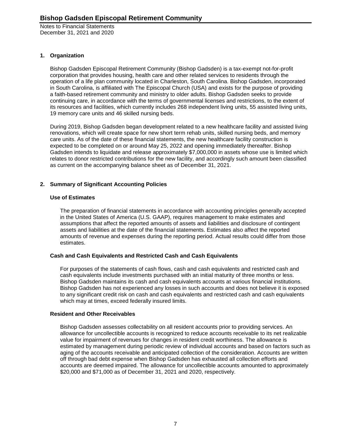# **1. Organization**

Bishop Gadsden Episcopal Retirement Community (Bishop Gadsden) is a tax-exempt not-for-profit corporation that provides housing, health care and other related services to residents through the operation of a life plan community located in Charleston, South Carolina. Bishop Gadsden, incorporated in South Carolina, is affiliated with The Episcopal Church (USA) and exists for the purpose of providing a faith-based retirement community and ministry to older adults. Bishop Gadsden seeks to provide continuing care, in accordance with the terms of governmental licenses and restrictions, to the extent of its resources and facilities, which currently includes 268 independent living units, 55 assisted living units, 19 memory care units and 46 skilled nursing beds.

During 2019, Bishop Gadsden began development related to a new healthcare facility and assisted living renovations, which will create space for new short term rehab units, skilled nursing beds, and memory care units. As of the date of these financial statements, the new healthcare facility construction is expected to be completed on or around May 25, 2022 and opening immediately thereafter. Bishop Gadsden intends to liquidate and release approximately \$7,000,000 in assets whose use is limited which relates to donor restricted contributions for the new facility, and accordingly such amount been classified as current on the accompanying balance sheet as of December 31, 2021.

# **2. Summary of Significant Accounting Policies**

# **Use of Estimates**

The preparation of financial statements in accordance with accounting principles generally accepted in the United States of America (U.S. GAAP), requires management to make estimates and assumptions that affect the reported amounts of assets and liabilities and disclosure of contingent assets and liabilities at the date of the financial statements. Estimates also affect the reported amounts of revenue and expenses during the reporting period. Actual results could differ from those estimates.

# **Cash and Cash Equivalents and Restricted Cash and Cash Equivalents**

For purposes of the statements of cash flows, cash and cash equivalents and restricted cash and cash equivalents include investments purchased with an initial maturity of three months or less. Bishop Gadsden maintains its cash and cash equivalents accounts at various financial institutions. Bishop Gadsden has not experienced any losses in such accounts and does not believe it is exposed to any significant credit risk on cash and cash equivalents and restricted cash and cash equivalents which may at times, exceed federally insured limits.

# **Resident and Other Receivables**

Bishop Gadsden assesses collectability on all resident accounts prior to providing services. An allowance for uncollectible accounts is recognized to reduce accounts receivable to its net realizable value for impairment of revenues for changes in resident credit worthiness. The allowance is estimated by management during periodic review of individual accounts and based on factors such as aging of the accounts receivable and anticipated collection of the consideration. Accounts are written off through bad debt expense when Bishop Gadsden has exhausted all collection efforts and accounts are deemed impaired. The allowance for uncollectible accounts amounted to approximately \$20,000 and \$71,000 as of December 31, 2021 and 2020, respectively.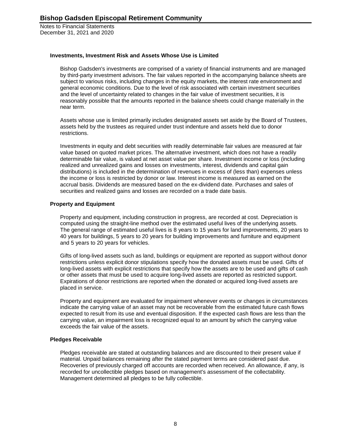#### **Investments, Investment Risk and Assets Whose Use is Limited**

Bishop Gadsden's investments are comprised of a variety of financial instruments and are managed by third-party investment advisors. The fair values reported in the accompanying balance sheets are subject to various risks, including changes in the equity markets, the interest rate environment and general economic conditions. Due to the level of risk associated with certain investment securities and the level of uncertainty related to changes in the fair value of investment securities, it is reasonably possible that the amounts reported in the balance sheets could change materially in the near term.

Assets whose use is limited primarily includes designated assets set aside by the Board of Trustees, assets held by the trustees as required under trust indenture and assets held due to donor restrictions.

Investments in equity and debt securities with readily determinable fair values are measured at fair value based on quoted market prices. The alternative investment, which does not have a readily determinable fair value, is valued at net asset value per share. Investment income or loss (including realized and unrealized gains and losses on investments, interest, dividends and capital gain distributions) is included in the determination of revenues in excess of (less than) expenses unless the income or loss is restricted by donor or law. Interest income is measured as earned on the accrual basis. Dividends are measured based on the ex-dividend date. Purchases and sales of securities and realized gains and losses are recorded on a trade date basis.

#### **Property and Equipment**

Property and equipment, including construction in progress, are recorded at cost. Depreciation is computed using the straight-line method over the estimated useful lives of the underlying assets. The general range of estimated useful lives is 8 years to 15 years for land improvements, 20 years to 40 years for buildings, 5 years to 20 years for building improvements and furniture and equipment and 5 years to 20 years for vehicles.

Gifts of long-lived assets such as land, buildings or equipment are reported as support without donor restrictions unless explicit donor stipulations specify how the donated assets must be used. Gifts of long-lived assets with explicit restrictions that specify how the assets are to be used and gifts of cash or other assets that must be used to acquire long-lived assets are reported as restricted support. Expirations of donor restrictions are reported when the donated or acquired long-lived assets are placed in service.

Property and equipment are evaluated for impairment whenever events or changes in circumstances indicate the carrying value of an asset may not be recoverable from the estimated future cash flows expected to result from its use and eventual disposition. If the expected cash flows are less than the carrying value, an impairment loss is recognized equal to an amount by which the carrying value exceeds the fair value of the assets.

#### **Pledges Receivable**

Pledges receivable are stated at outstanding balances and are discounted to their present value if material. Unpaid balances remaining after the stated payment terms are considered past due. Recoveries of previously charged off accounts are recorded when received. An allowance, if any, is recorded for uncollectible pledges based on management's assessment of the collectability. Management determined all pledges to be fully collectible.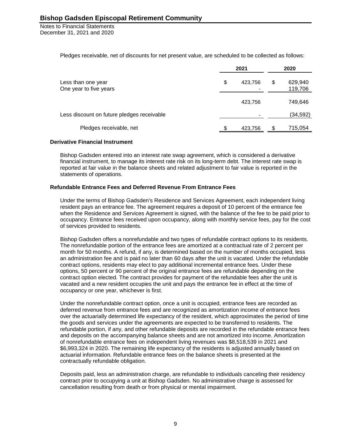Pledges receivable, net of discounts for net present value, are scheduled to be collected as follows:

|                                              |    | 2021    | 2020 |                    |  |
|----------------------------------------------|----|---------|------|--------------------|--|
| Less than one year<br>One year to five years | \$ | 423,756 | S    | 629,940<br>119,706 |  |
|                                              |    | 423,756 |      | 749,646            |  |
| Less discount on future pledges receivable   |    |         |      | (34, 592)          |  |
| Pledges receivable, net                      | £. | 423,756 | \$.  | 715,054            |  |

#### **Derivative Financial Instrument**

Bishop Gadsden entered into an interest rate swap agreement, which is considered a derivative financial instrument, to manage its interest rate risk on its long-term debt. The interest rate swap is reported at fair value in the balance sheets and related adjustment to fair value is reported in the statements of operations.

#### **Refundable Entrance Fees and Deferred Revenue From Entrance Fees**

Under the terms of Bishop Gadsden's Residence and Services Agreement, each independent living resident pays an entrance fee. The agreement requires a deposit of 10 percent of the entrance fee when the Residence and Services Agreement is signed, with the balance of the fee to be paid prior to occupancy. Entrance fees received upon occupancy, along with monthly service fees, pay for the cost of services provided to residents.

Bishop Gadsden offers a nonrefundable and two types of refundable contract options to its residents. The nonrefundable portion of the entrance fees are amortized at a contractual rate of 2 percent per month for 50 months. A refund, if any, is determined based on the number of months occupied, less an administration fee and is paid no later than 60 days after the unit is vacated. Under the refundable contract options, residents may elect to pay additional incremental entrance fees. Under these options, 50 percent or 90 percent of the original entrance fees are refundable depending on the contract option elected. The contract provides for payment of the refundable fees after the unit is vacated and a new resident occupies the unit and pays the entrance fee in effect at the time of occupancy or one year, whichever is first.

Under the nonrefundable contract option, once a unit is occupied, entrance fees are recorded as deferred revenue from entrance fees and are recognized as amortization income of entrance fees over the actuarially determined life expectancy of the resident, which approximates the period of time the goods and services under the agreements are expected to be transferred to residents. The refundable portion, if any, and other refundable deposits are recorded in the refundable entrance fees and deposits on the accompanying balance sheets and are not amortized into income. Amortization of nonrefundable entrance fees on independent living revenues was \$8,518,539 in 2021 and \$6,993,324 in 2020. The remaining life expectancy of the residents is adjusted annually based on actuarial information. Refundable entrance fees on the balance sheets is presented at the contractually refundable obligation.

Deposits paid, less an administration charge, are refundable to individuals canceling their residency contract prior to occupying a unit at Bishop Gadsden. No administrative charge is assessed for cancellation resulting from death or from physical or mental impairment.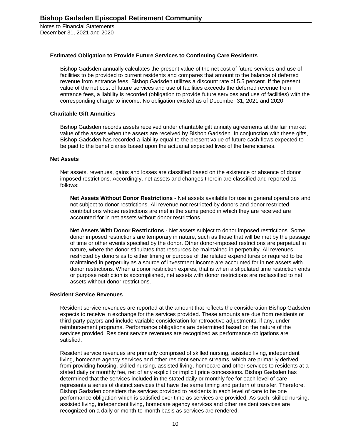#### **Estimated Obligation to Provide Future Services to Continuing Care Residents**

Bishop Gadsden annually calculates the present value of the net cost of future services and use of facilities to be provided to current residents and compares that amount to the balance of deferred revenue from entrance fees. Bishop Gadsden utilizes a discount rate of 5.5 percent. If the present value of the net cost of future services and use of facilities exceeds the deferred revenue from entrance fees, a liability is recorded (obligation to provide future services and use of facilities) with the corresponding charge to income. No obligation existed as of December 31, 2021 and 2020.

#### **Charitable Gift Annuities**

Bishop Gadsden records assets received under charitable gift annuity agreements at the fair market value of the assets when the assets are received by Bishop Gadsden. In conjunction with these gifts, Bishop Gadsden has recorded a liability equal to the present value of future cash flows expected to be paid to the beneficiaries based upon the actuarial expected lives of the beneficiaries.

#### **Net Assets**

Net assets, revenues, gains and losses are classified based on the existence or absence of donor imposed restrictions. Accordingly, net assets and changes therein are classified and reported as follows:

**Net Assets Without Donor Restrictions** - Net assets available for use in general operations and not subject to donor restrictions. All revenue not restricted by donors and donor restricted contributions whose restrictions are met in the same period in which they are received are accounted for in net assets without donor restrictions.

**Net Assets With Donor Restrictions** - Net assets subject to donor imposed restrictions. Some donor imposed restrictions are temporary in nature, such as those that will be met by the passage of time or other events specified by the donor. Other donor-imposed restrictions are perpetual in nature, where the donor stipulates that resources be maintained in perpetuity. All revenues restricted by donors as to either timing or purpose of the related expenditures or required to be maintained in perpetuity as a source of investment income are accounted for in net assets with donor restrictions. When a donor restriction expires, that is when a stipulated time restriction ends or purpose restriction is accomplished, net assets with donor restrictions are reclassified to net assets without donor restrictions.

#### **Resident Service Revenues**

Resident service revenues are reported at the amount that reflects the consideration Bishop Gadsden expects to receive in exchange for the services provided. These amounts are due from residents or third-party payors and include variable consideration for retroactive adjustments, if any, under reimbursement programs. Performance obligations are determined based on the nature of the services provided. Resident service revenues are recognized as performance obligations are satisfied.

Resident service revenues are primarily comprised of skilled nursing, assisted living, independent living, homecare agency services and other resident service streams, which are primarily derived from providing housing, skilled nursing, assisted living, homecare and other services to residents at a stated daily or monthly fee, net of any explicit or implicit price concessions. Bishop Gadsden has determined that the services included in the stated daily or monthly fee for each level of care represents a series of distinct services that have the same timing and pattern of transfer. Therefore, Bishop Gadsden considers the services provided to residents in each level of care to be one performance obligation which is satisfied over time as services are provided. As such, skilled nursing, assisted living, independent living, homecare agency services and other resident services are recognized on a daily or month-to-month basis as services are rendered.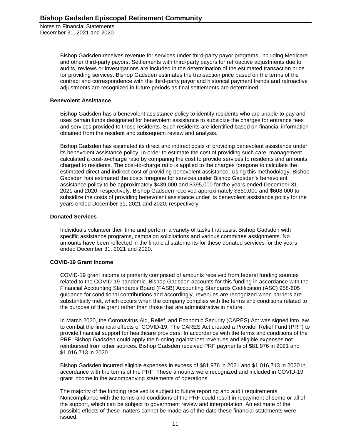> Bishop Gadsden receives revenue for services under third-party payor programs, including Medicare and other third-party payors. Settlements with third-party payors for retroactive adjustments due to audits, reviews or investigations are included in the determination of the estimated transaction price for providing services. Bishop Gadsden estimates the transaction price based on the terms of the contract and correspondence with the third-party payor and historical payment trends and retroactive adjustments are recognized in future periods as final settlements are determined.

#### **Benevolent Assistance**

Bishop Gadsden has a benevolent assistance policy to identify residents who are unable to pay and uses certain funds designated for benevolent assistance to subsidize the charges for entrance fees and services provided to those residents. Such residents are identified based on financial information obtained from the resident and subsequent review and analysis.

Bishop Gadsden has estimated its direct and indirect costs of providing benevolent assistance under its benevolent assistance policy. In order to estimate the cost of providing such care, management calculated a cost-to-charge ratio by comparing the cost to provide services to residents and amounts charged to residents. The cost-to-charge ratio is applied to the charges foregone to calculate the estimated direct and indirect cost of providing benevolent assistance. Using this methodology, Bishop Gadsden has estimated the costs foregone for services under Bishop Gadsden's benevolent assistance policy to be approximately \$439,000 and \$395,000 for the years ended December 31, 2021 and 2020, respectively. Bishop Gadsden received approximately \$650,000 and \$608,000 to subsidize the costs of providing benevolent assistance under its benevolent assistance policy for the years ended December 31, 2021 and 2020, respectively.

#### **Donated Services**

Individuals volunteer their time and perform a variety of tasks that assist Bishop Gadsden with specific assistance programs, campaign solicitations and various committee assignments. No amounts have been reflected in the financial statements for these donated services for the years ended December 31, 2021 and 2020.

#### **COVID-19 Grant Income**

COVID-19 grant income is primarily comprised of amounts received from federal funding sources related to the COVID-19 pandemic. Bishop Gadsden accounts for this funding in accordance with the Financial Accounting Standards Board (FASB) Accounting Standards Codification (ASC) 958-605 guidance for conditional contributions and accordingly, revenues are recognized when barriers are substantially met, which occurs when the company complies with the terms and conditions related to the purpose of the grant rather than those that are administrative in nature.

In March 2020, the Coronavirus Aid, Relief, and Economic Security (CARES) Act was signed into law to combat the financial effects of COVID-19. The CARES Act created a Provider Relief Fund (PRF) to provide financial support for healthcare providers. In accordance with the terms and conditions of the PRF, Bishop Gadsden could apply the funding against lost revenues and eligible expenses not reimbursed from other sources. Bishop Gadsden received PRF payments of \$81,976 in 2021 and \$1,016,713 in 2020.

Bishop Gadsden incurred eligible expenses in excess of \$81,976 in 2021 and \$1,016,713 in 2020 in accordance with the terms of the PRF. These amounts were recognized and included in COVID-19 grant income in the accompanying statements of operations.

The majority of the funding received is subject to future reporting and audit requirements. Noncompliance with the terms and conditions of the PRF could result in repayment of some or all of the support, which can be subject to government review and interpretation. An estimate of the possible effects of these matters cannot be made as of the date these financial statements were issued.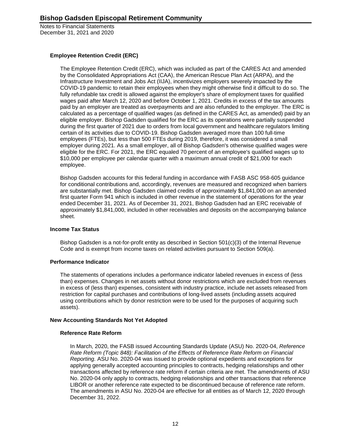# **Employee Retention Credit (ERC)**

The Employee Retention Credit (ERC), which was included as part of the CARES Act and amended by the Consolidated Appropriations Act (CAA), the American Rescue Plan Act (ARPA), and the Infrastructure Investment and Jobs Act (IIJA), incentivizes employers severely impacted by the COVID-19 pandemic to retain their employees when they might otherwise find it difficult to do so. The fully refundable tax credit is allowed against the employer's share of employment taxes for qualified wages paid after March 12, 2020 and before October 1, 2021. Credits in excess of the tax amounts paid by an employer are treated as overpayments and are also refunded to the employer. The ERC is calculated as a percentage of qualified wages (as defined in the CARES Act, as amended) paid by an eligible employer. Bishop Gadsden qualified for the ERC as its operations were partially suspended during the first quarter of 2021 due to orders from local government and healthcare regulators limiting certain of its activities due to COVID-19. Bishop Gadsden averaged more than 100 full-time employees (FTEs), but less than 500 FTEs during 2019, therefore, it was considered a small employer during 2021. As a small employer, all of Bishop Gadsden's otherwise qualified wages were eligible for the ERC. For 2021, the ERC equaled 70 percent of an employee's qualified wages up to \$10,000 per employee per calendar quarter with a maximum annual credit of \$21,000 for each employee.

Bishop Gadsden accounts for this federal funding in accordance with FASB ASC 958-605 guidance for conditional contributions and, accordingly, revenues are measured and recognized when barriers are substantially met. Bishop Gadsden claimed credits of approximately \$1,841,000 on an amended first quarter Form 941 which is included in other revenue in the statement of operations for the year ended December 31, 2021. As of December 31, 2021, Bishop Gadsden had an ERC receivable of approximately \$1,841,000, included in other receivables and deposits on the accompanying balance sheet.

#### **Income Tax Status**

Bishop Gadsden is a not-for-profit entity as described in Section 501(c)(3) of the Internal Revenue Code and is exempt from income taxes on related activities pursuant to Section 509(a).

#### **Performance Indicator**

The statements of operations includes a performance indicator labeled revenues in excess of (less than) expenses. Changes in net assets without donor restrictions which are excluded from revenues in excess of (less than) expenses, consistent with industry practice, include net assets released from restriction for capital purchases and contributions of long-lived assets (including assets acquired using contributions which by donor restriction were to be used for the purposes of acquiring such assets).

#### **New Accounting Standards Not Yet Adopted**

#### **Reference Rate Reform**

In March, 2020, the FASB issued Accounting Standards Update (ASU) No. 2020-04, *Reference Rate Reform (Topic 848): Facilitation of the Effects of Reference Rate Reform on Financial Reporting.* ASU No. 2020-04 was issued to provide optional expedients and exceptions for applying generally accepted accounting principles to contracts, hedging relationships and other transactions affected by reference rate reform if certain criteria are met. The amendments of ASU No. 2020-04 only apply to contracts, hedging relationships and other transactions that reference LIBOR or another reference rate expected to be discontinued because of reference rate reform. The amendments in ASU No. 2020-04 are effective for all entities as of March 12, 2020 through December 31, 2022.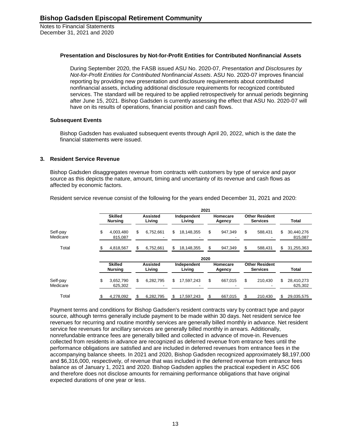#### **Presentation and Disclosures by Not-for-Profit Entities for Contributed Nonfinancial Assets**

During September 2020, the FASB issued ASU No. 2020-07, *Presentation and Disclosures by Not-for-Profit Entities for Contributed Nonfinancial Assets*. ASU No. 2020-07 improves financial reporting by providing new presentation and disclosure requirements about contributed nonfinancial assets, including additional disclosure requirements for recognized contributed services. The standard will be required to be applied retrospectively for annual periods beginning after June 15, 2021. Bishop Gadsden is currently assessing the effect that ASU No. 2020-07 will have on its results of operations, financial position and cash flows.

#### **Subsequent Events**

Bishop Gadsden has evaluated subsequent events through April 20, 2022, which is the date the financial statements were issued.

#### **3. Resident Service Revenue**

Bishop Gadsden disaggregates revenue from contracts with customers by type of service and payor source as this depicts the nature, amount, timing and uncertainty of its revenue and cash flows as affected by economic factors.

| Resident service revenue consist of the following for the years ended December 31, 2021 and 2020: |
|---------------------------------------------------------------------------------------------------|
|---------------------------------------------------------------------------------------------------|

|                      |                                  |                           |                       | 2021 |                    |                                          |                             |
|----------------------|----------------------------------|---------------------------|-----------------------|------|--------------------|------------------------------------------|-----------------------------|
|                      | <b>Skilled</b><br>Nursing        | <b>Assisted</b><br>Living | Independent<br>Living |      | Homecare<br>Agency | <b>Other Resident</b><br><b>Services</b> | <b>Total</b>                |
| Self-pay<br>Medicare | \$<br>4.003.480<br>815,087       | \$<br>6,752,661           | \$<br>18,148,355      | \$   | 947.349            | \$<br>588.431                            | \$<br>30,440,276<br>815,087 |
| Total                | 4,818,567                        | \$<br>6,752,661           | \$<br>18,148,355      | S    | 947,349            | \$<br>588,431                            | \$<br>31,255,363            |
|                      |                                  |                           |                       | 2020 |                    |                                          |                             |
|                      | <b>Skilled</b><br><b>Nursing</b> | <b>Assisted</b><br>Living | Independent<br>Living |      | Homecare<br>Agency | <b>Other Resident</b><br><b>Services</b> | Total                       |
| Self-pay<br>Medicare | \$<br>3,652,790<br>625.302       | \$<br>6,282,795           | \$<br>17,597,243      | \$   | 667,015            | \$<br>210,430                            | \$<br>28,410,273<br>625.302 |
| Total                | 4,278,092                        | \$<br>6,282,795           | \$<br>17,597,243      |      | 667,015            | 210,430                                  | \$<br>29,035,575            |

Payment terms and conditions for Bishop Gadsden's resident contracts vary by contract type and payor source, although terms generally include payment to be made within 30 days. Net resident service fee revenues for recurring and routine monthly services are generally billed monthly in advance. Net resident service fee revenues for ancillary services are generally billed monthly in arrears. Additionally, nonrefundable entrance fees are generally billed and collected in advance of move-in. Revenues collected from residents in advance are recognized as deferred revenue from entrance fees until the performance obligations are satisfied and are included in deferred revenues from entrance fees in the accompanying balance sheets. In 2021 and 2020, Bishop Gadsden recognized approximately \$8,197,000 and \$6,316,000, respectively, of revenue that was included in the deferred revenue from entrance fees balance as of January 1, 2021 and 2020. Bishop Gadsden applies the practical expedient in ASC 606 and therefore does not disclose amounts for remaining performance obligations that have original expected durations of one year or less.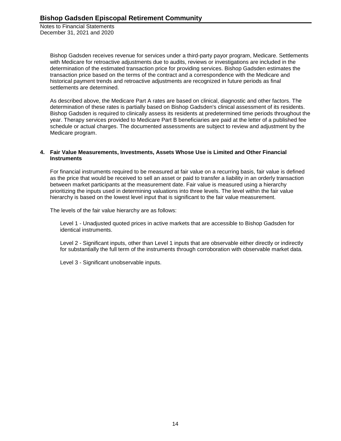> Bishop Gadsden receives revenue for services under a third-party payor program, Medicare. Settlements with Medicare for retroactive adjustments due to audits, reviews or investigations are included in the determination of the estimated transaction price for providing services. Bishop Gadsden estimates the transaction price based on the terms of the contract and a correspondence with the Medicare and historical payment trends and retroactive adjustments are recognized in future periods as final settlements are determined.

> As described above, the Medicare Part A rates are based on clinical, diagnostic and other factors. The determination of these rates is partially based on Bishop Gadsden's clinical assessment of its residents. Bishop Gadsden is required to clinically assess its residents at predetermined time periods throughout the year. Therapy services provided to Medicare Part B beneficiaries are paid at the letter of a published fee schedule or actual charges. The documented assessments are subject to review and adjustment by the Medicare program.

#### **4. Fair Value Measurements, Investments, Assets Whose Use is Limited and Other Financial Instruments**

For financial instruments required to be measured at fair value on a recurring basis, fair value is defined as the price that would be received to sell an asset or paid to transfer a liability in an orderly transaction between market participants at the measurement date. Fair value is measured using a hierarchy prioritizing the inputs used in determining valuations into three levels. The level within the fair value hierarchy is based on the lowest level input that is significant to the fair value measurement.

The levels of the fair value hierarchy are as follows:

Level 1 - Unadjusted quoted prices in active markets that are accessible to Bishop Gadsden for identical instruments.

Level 2 - Significant inputs, other than Level 1 inputs that are observable either directly or indirectly for substantially the full term of the instruments through corroboration with observable market data.

Level 3 - Significant unobservable inputs.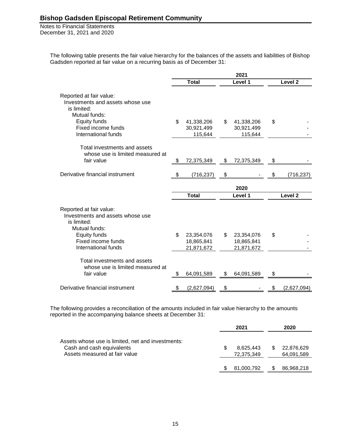> The following table presents the fair value hierarchy for the balances of the assets and liabilities of Bishop Gadsden reported at fair value on a recurring basis as of December 31:

|                                                                                                                                                          |                                              | 2021                                         |                    |
|----------------------------------------------------------------------------------------------------------------------------------------------------------|----------------------------------------------|----------------------------------------------|--------------------|
|                                                                                                                                                          | <b>Total</b>                                 | Level 1                                      | Level <sub>2</sub> |
| Reported at fair value:<br>Investments and assets whose use<br>is limited:<br>Mutual funds:<br>Equity funds<br>Fixed income funds<br>International funds | \$<br>41,338,206<br>30,921,499<br>115,644    | \$<br>41,338,206<br>30,921,499<br>115,644    | \$                 |
| Total investments and assets<br>whose use is limited measured at<br>fair value                                                                           | \$<br>72,375,349                             | \$<br>72,375,349                             | \$                 |
| Derivative financial instrument                                                                                                                          | \$<br>(716, 237)                             | \$                                           | \$<br>(716, 237)   |
|                                                                                                                                                          |                                              | 2020                                         |                    |
|                                                                                                                                                          | <b>Total</b>                                 | Level 1                                      | Level <sub>2</sub> |
| Reported at fair value:<br>Investments and assets whose use<br>is limited:<br>Mutual funds:<br>Equity funds<br>Fixed income funds<br>International funds | \$<br>23,354,076<br>18,865,841<br>21,871,672 | \$<br>23,354,076<br>18,865,841<br>21,871,672 | \$                 |
| Total investments and assets<br>whose use is limited measured at<br>fair value                                                                           | 64,091,589                                   | \$<br>64,091,589                             | \$                 |
| Derivative financial instrument                                                                                                                          | \$<br>(2,627,094)                            | \$                                           | \$<br>(2,627,094)  |

The following provides a reconciliation of the amounts included in fair value hierarchy to the amounts reported in the accompanying balance sheets at December 31:

|                                                                                                                 | 2021                    | 2020                     |  |  |
|-----------------------------------------------------------------------------------------------------------------|-------------------------|--------------------------|--|--|
| Assets whose use is limited, net and investments:<br>Cash and cash equivalents<br>Assets measured at fair value | 8.625.443<br>72,375,349 | 22,876,629<br>64,091,589 |  |  |
|                                                                                                                 | 81,000,792              | 86,968,218               |  |  |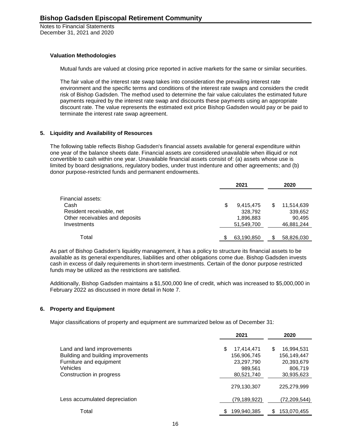#### **Valuation Methodologies**

Mutual funds are valued at closing price reported in active markets for the same or similar securities.

The fair value of the interest rate swap takes into consideration the prevailing interest rate environment and the specific terms and conditions of the interest rate swaps and considers the credit risk of Bishop Gadsden. The method used to determine the fair value calculates the estimated future payments required by the interest rate swap and discounts these payments using an appropriate discount rate. The value represents the estimated exit price Bishop Gadsden would pay or be paid to terminate the interest rate swap agreement.

#### **5. Liquidity and Availability of Resources**

The following table reflects Bishop Gadsden's financial assets available for general expenditure within one year of the balance sheets date. Financial assets are considered unavailable when illiquid or not convertible to cash within one year. Unavailable financial assets consist of: (a) assets whose use is limited by board designations, regulatory bodies, under trust indenture and other agreements; and (b) donor purpose-restricted funds and permanent endowments.

|                                | 2021 |            |   | 2020       |  |  |
|--------------------------------|------|------------|---|------------|--|--|
| Financial assets:              |      |            |   |            |  |  |
| Cash                           | S    | 9,415,475  | S | 11,514,639 |  |  |
| Resident receivable, net       |      | 328,792    |   | 339,652    |  |  |
| Other receivables and deposits |      | 1,896,883  |   | 90,495     |  |  |
| Investments                    |      | 51,549,700 |   | 46,881,244 |  |  |
|                                |      |            |   |            |  |  |
| Total                          |      | 63,190,850 |   | 58,826,030 |  |  |

As part of Bishop Gadsden's liquidity management, it has a policy to structure its financial assets to be available as its general expenditures, liabilities and other obligations come due. Bishop Gadsden invests cash in excess of daily requirements in short-term investments. Certain of the donor purpose restricted funds may be utilized as the restrictions are satisfied.

Additionally, Bishop Gadsden maintains a \$1,500,000 line of credit, which was increased to \$5,000,000 in February 2022 as discussed in more detail in Note 7.

# **6. Property and Equipment**

Major classifications of property and equipment are summarized below as of December 31:

|                                                                                                                                            | 2021                                                                   | 2020                                                                   |
|--------------------------------------------------------------------------------------------------------------------------------------------|------------------------------------------------------------------------|------------------------------------------------------------------------|
| Land and land improvements<br>Building and building improvements<br>Furniture and equipment<br><b>Vehicles</b><br>Construction in progress | \$<br>17,414,471<br>156,906,745<br>23,297,790<br>989,561<br>80,521,740 | \$<br>16,994,531<br>156,149,447<br>20,393,679<br>806,719<br>30,935,623 |
|                                                                                                                                            | 279,130,307                                                            | 225,279,999                                                            |
| Less accumulated depreciation                                                                                                              | (79,189,922)                                                           | (72,209,544)                                                           |
| Total                                                                                                                                      | 199,940,385                                                            | 153,070,455                                                            |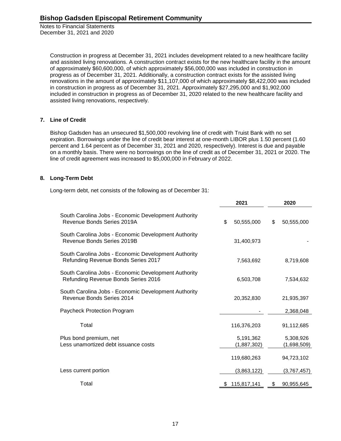> Construction in progress at December 31, 2021 includes development related to a new healthcare facility and assisted living renovations. A construction contract exists for the new healthcare facility in the amount of approximately \$60,600,000, of which approximately \$56,000,000 was included in construction in progress as of December 31, 2021. Additionally, a construction contract exists for the assisted living renovations in the amount of approximately \$11,107,000 of which approximately \$8,422,000 was included in construction in progress as of December 31, 2021. Approximately \$27,295,000 and \$1,902,000 included in construction in progress as of December 31, 2020 related to the new healthcare facility and assisted living renovations, respectively.

# **7. Line of Credit**

Bishop Gadsden has an unsecured \$1,500,000 revolving line of credit with Truist Bank with no set expiration. Borrowings under the line of credit bear interest at one-month LIBOR plus 1.50 percent (1.60 percent and 1.64 percent as of December 31, 2021 and 2020, respectively). Interest is due and payable on a monthly basis. There were no borrowings on the line of credit as of December 31, 2021 or 2020. The line of credit agreement was increased to \$5,000,000 in February of 2022.

# **8. Long-Term Debt**

Long-term debt, net consists of the following as of December 31:

|                                                                                             | 2021             | 2020             |
|---------------------------------------------------------------------------------------------|------------------|------------------|
| South Carolina Jobs - Economic Development Authority<br>Revenue Bonds Series 2019A          | \$<br>50,555,000 | \$<br>50,555,000 |
| South Carolina Jobs - Economic Development Authority<br>Revenue Bonds Series 2019B          | 31,400,973       |                  |
| South Carolina Jobs - Economic Development Authority<br>Refunding Revenue Bonds Series 2017 | 7,563,692        | 8,719,608        |
| South Carolina Jobs - Economic Development Authority<br>Refunding Revenue Bonds Series 2016 | 6,503,708        | 7,534,632        |
| South Carolina Jobs - Economic Development Authority<br>Revenue Bonds Series 2014           | 20,352,830       | 21,935,397       |
| Paycheck Protection Program                                                                 |                  | 2,368,048        |
| Total                                                                                       | 116,376,203      | 91,112,685       |
| Plus bond premium, net                                                                      | 5,191,362        | 5,308,926        |
| Less unamortized debt issuance costs                                                        | (1,887,302)      | (1,698,509)      |
|                                                                                             | 119,680,263      | 94,723,102       |
| Less current portion                                                                        | (3,863,122)      | (3,767,457)      |
| Total                                                                                       | 115,817,141      | 90,955,645<br>\$ |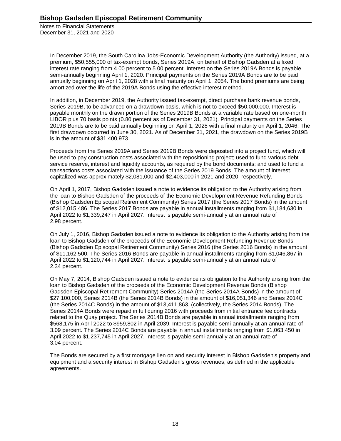> In December 2019, the South Carolina Jobs-Economic Development Authority (the Authority) issued, at a premium, \$50,555,000 of tax-exempt bonds, Series 2019A, on behalf of Bishop Gadsden at a fixed interest rate ranging from 4.00 percent to 5.00 percent. Interest on the Series 2019A Bonds is payable semi-annually beginning April 1, 2020. Principal payments on the Series 2019A Bonds are to be paid annually beginning on April 1, 2028 with a final maturity on April 1, 2054. The bond premiums are being amortized over the life of the 2019A Bonds using the effective interest method.

> In addition, in December 2019, the Authority issued tax-exempt, direct purchase bank revenue bonds, Series 2019B, to be advanced on a drawdown basis, which is not to exceed \$50,000,000. Interest is payable monthly on the drawn portion of the Series 2019B Bonds at a variable rate based on one-month LIBOR plus 70 basis points (0.80 percent as of December 31, 2021). Principal payments on the Series 2019B Bonds are to be paid annually beginning on April 1, 2028 with a final maturity on April 1, 2046. The first drawdown occurred in June 30, 2021. As of December 31, 2021, the drawdown on the Series 2019B is in the amount of \$31,400,973.

Proceeds from the Series 2019A and Series 2019B Bonds were deposited into a project fund, which will be used to pay construction costs associated with the repositioning project; used to fund various debt service reserve, interest and liquidity accounts, as required by the bond documents; and used to fund a transactions costs associated with the issuance of the Series 2019 Bonds. The amount of interest capitalized was approximately \$2,081,000 and \$2,403,000 in 2021 and 2020, respectively.

On April 1, 2017, Bishop Gadsden issued a note to evidence its obligation to the Authority arising from the loan to Bishop Gadsden of the proceeds of the Economic Development Revenue Refunding Bonds (Bishop Gadsden Episcopal Retirement Community) Series 2017 (the Series 2017 Bonds) in the amount of \$12,015,486. The Series 2017 Bonds are payable in annual installments ranging from \$1,184,630 in April 2022 to \$1,339,247 in April 2027. Interest is payable semi-annually at an annual rate of 2.98 percent.

On July 1, 2016, Bishop Gadsden issued a note to evidence its obligation to the Authority arising from the loan to Bishop Gadsden of the proceeds of the Economic Development Refunding Revenue Bonds (Bishop Gadsden Episcopal Retirement Community) Series 2016 (the Series 2016 Bonds) in the amount of \$11,162,500. The Series 2016 Bonds are payable in annual installments ranging from \$1,046,867 in April 2022 to \$1,120,744 in April 2027. Interest is payable semi-annually at an annual rate of 2.34 percent.

On May 7, 2014, Bishop Gadsden issued a note to evidence its obligation to the Authority arising from the loan to Bishop Gadsden of the proceeds of the Economic Development Revenue Bonds (Bishop Gadsden Episcopal Retirement Community) Series 2014A (the Series 2014A Bonds) in the amount of \$27,100,000, Series 2014B (the Series 2014B Bonds) in the amount of \$16,051,346 and Series 2014C (the Series 2014C Bonds) in the amount of \$13,411,863, (collectively, the Series 2014 Bonds). The Series 2014A Bonds were repaid in full during 2016 with proceeds from initial entrance fee contracts related to the Quay project. The Series 2014B Bonds are payable in annual installments ranging from \$568,175 in April 2022 to \$959,802 in April 2039. Interest is payable semi-annually at an annual rate of 3.09 percent. The Series 2014C Bonds are payable in annual installments ranging from \$1,063,450 in April 2022 to \$1,237,745 in April 2027. Interest is payable semi-annually at an annual rate of 3.04 percent.

The Bonds are secured by a first mortgage lien on and security interest in Bishop Gadsden's property and equipment and a security interest in Bishop Gadsden's gross revenues, as defined in the applicable agreements.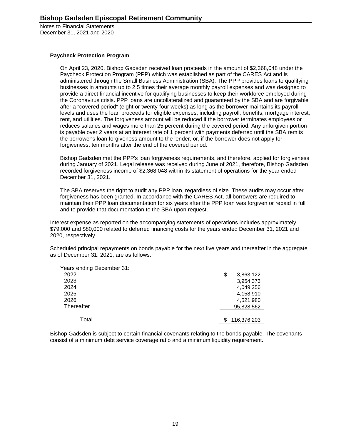#### **Paycheck Protection Program**

On April 23, 2020, Bishop Gadsden received loan proceeds in the amount of \$2,368,048 under the Paycheck Protection Program (PPP) which was established as part of the CARES Act and is administered through the Small Business Administration (SBA). The PPP provides loans to qualifying businesses in amounts up to 2.5 times their average monthly payroll expenses and was designed to provide a direct financial incentive for qualifying businesses to keep their workforce employed during the Coronavirus crisis. PPP loans are uncollateralized and guaranteed by the SBA and are forgivable after a "covered period" (eight or twenty-four weeks) as long as the borrower maintains its payroll levels and uses the loan proceeds for eligible expenses, including payroll, benefits, mortgage interest, rent, and utilities. The forgiveness amount will be reduced if the borrower terminates employees or reduces salaries and wages more than 25 percent during the covered period. Any unforgiven portion is payable over 2 years at an interest rate of 1 percent with payments deferred until the SBA remits the borrower's loan forgiveness amount to the lender, or, if the borrower does not apply for forgiveness, ten months after the end of the covered period.

Bishop Gadsden met the PPP's loan forgiveness requirements, and therefore, applied for forgiveness during January of 2021. Legal release was received during June of 2021, therefore, Bishop Gadsden recorded forgiveness income of \$2,368,048 within its statement of operations for the year ended December 31, 2021.

The SBA reserves the right to audit any PPP loan, regardless of size. These audits may occur after forgiveness has been granted. In accordance with the CARES Act, all borrowers are required to maintain their PPP loan documentation for six years after the PPP loan was forgiven or repaid in full and to provide that documentation to the SBA upon request.

Interest expense as reported on the accompanying statements of operations includes approximately \$79,000 and \$80,000 related to deferred financing costs for the years ended December 31, 2021 and 2020, respectively.

Scheduled principal repayments on bonds payable for the next five years and thereafter in the aggregate as of December 31, 2021, are as follows:

| Years ending December 31: |                 |
|---------------------------|-----------------|
| 2022                      | \$<br>3,863,122 |
| 2023                      | 3,954,373       |
| 2024                      | 4,049,256       |
| 2025                      | 4,158,910       |
| 2026                      | 4,521,980       |
| Thereafter                | 95,828,562      |
|                           |                 |
| Total                     | 116,376,203     |

Bishop Gadsden is subject to certain financial covenants relating to the bonds payable. The covenants consist of a minimum debt service coverage ratio and a minimum liquidity requirement.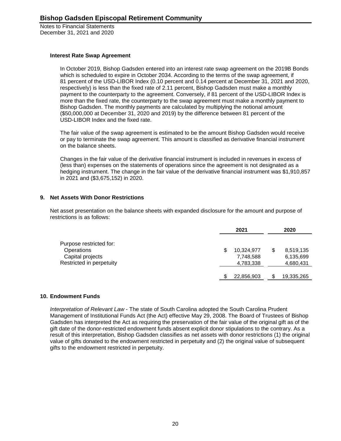#### **Interest Rate Swap Agreement**

In October 2019, Bishop Gadsden entered into an interest rate swap agreement on the 2019B Bonds which is scheduled to expire in October 2034. According to the terms of the swap agreement, if 81 percent of the USD-LIBOR Index (0.10 percent and 0.14 percent at December 31, 2021 and 2020, respectively) is less than the fixed rate of 2.11 percent, Bishop Gadsden must make a monthly payment to the counterparty to the agreement. Conversely, if 81 percent of the USD-LIBOR Index is more than the fixed rate, the counterparty to the swap agreement must make a monthly payment to Bishop Gadsden. The monthly payments are calculated by multiplying the notional amount (\$50,000,000 at December 31, 2020 and 2019) by the difference between 81 percent of the USD-LIBOR Index and the fixed rate.

The fair value of the swap agreement is estimated to be the amount Bishop Gadsden would receive or pay to terminate the swap agreement. This amount is classified as derivative financial instrument on the balance sheets.

Changes in the fair value of the derivative financial instrument is included in revenues in excess of (less than) expenses on the statements of operations since the agreement is not designated as a hedging instrument. The change in the fair value of the derivative financial instrument was \$1,910,857 in 2021 and (\$3,675,152) in 2020.

# **9. Net Assets With Donor Restrictions**

Net asset presentation on the balance sheets with expanded disclosure for the amount and purpose of restrictions is as follows:

|                                              |   | 2021                   | 2020 |                        |
|----------------------------------------------|---|------------------------|------|------------------------|
| Purpose restricted for:<br>Operations        | S | 10,324,977             |      | 8,519,135              |
| Capital projects<br>Restricted in perpetuity |   | 7,748,588<br>4,783,338 |      | 6,135,699<br>4,680,431 |
|                                              |   | 22,856,903             |      | 19,335,265             |

# **10. Endowment Funds**

*Interpretation of Relevant Law* - The state of South Carolina adopted the South Carolina Prudent Management of Institutional Funds Act (the Act) effective May 29, 2008. The Board of Trustees of Bishop Gadsden has interpreted the Act as requiring the preservation of the fair value of the original gift as of the gift date of the donor-restricted endowment funds absent explicit donor stipulations to the contrary. As a result of this interpretation, Bishop Gadsden classifies as net assets with donor restrictions (1) the original value of gifts donated to the endowment restricted in perpetuity and (2) the original value of subsequent gifts to the endowment restricted in perpetuity.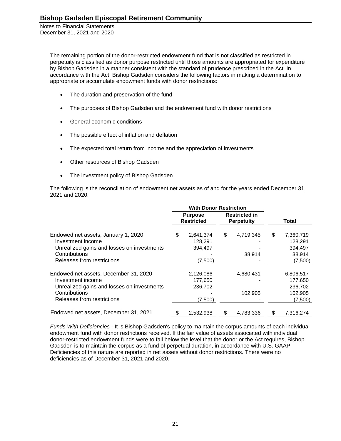> The remaining portion of the donor-restricted endowment fund that is not classified as restricted in perpetuity is classified as donor purpose restricted until those amounts are appropriated for expenditure by Bishop Gadsden in a manner consistent with the standard of prudence prescribed in the Act. In accordance with the Act, Bishop Gadsden considers the following factors in making a determination to appropriate or accumulate endowment funds with donor restrictions:

- The duration and preservation of the fund
- The purposes of Bishop Gadsden and the endowment fund with donor restrictions
- General economic conditions
- The possible effect of inflation and deflation
- The expected total return from income and the appreciation of investments
- Other resources of Bishop Gadsden
- The investment policy of Bishop Gadsden

The following is the reconciliation of endowment net assets as of and for the years ended December 31, 2021 and 2020:

|                                                                                                                                                         | <b>With Donor Restriction</b> |                                            |                                           |                      |       |                                                       |
|---------------------------------------------------------------------------------------------------------------------------------------------------------|-------------------------------|--------------------------------------------|-------------------------------------------|----------------------|-------|-------------------------------------------------------|
|                                                                                                                                                         |                               | <b>Purpose</b><br><b>Restricted</b>        | <b>Restricted in</b><br><b>Perpetuity</b> |                      | Total |                                                       |
| Endowed net assets, January 1, 2020<br>Investment income<br>Unrealized gains and losses on investments<br>Contributions<br>Releases from restrictions   | \$                            | 2,641,374<br>128.291<br>394,497<br>(7,500) | \$                                        | 4,719,345<br>38,914  | \$    | 7,360,719<br>128,291<br>394,497<br>38,914<br>(7,500)  |
| Endowed net assets, December 31, 2020<br>Investment income<br>Unrealized gains and losses on investments<br>Contributions<br>Releases from restrictions |                               | 2,126,086<br>177,650<br>236,702<br>(7,500) |                                           | 4,680,431<br>102,905 |       | 6,806,517<br>177,650<br>236,702<br>102,905<br>(7,500) |
| Endowed net assets, December 31, 2021                                                                                                                   | \$                            | 2,532,938                                  | \$                                        | 4,783,336            |       | 7,316,274                                             |

*Funds With Deficiencies* - It is Bishop Gadsden's policy to maintain the corpus amounts of each individual endowment fund with donor restrictions received. If the fair value of assets associated with individual donor-restricted endowment funds were to fall below the level that the donor or the Act requires, Bishop Gadsden is to maintain the corpus as a fund of perpetual duration, in accordance with U.S. GAAP. Deficiencies of this nature are reported in net assets without donor restrictions. There were no deficiencies as of December 31, 2021 and 2020.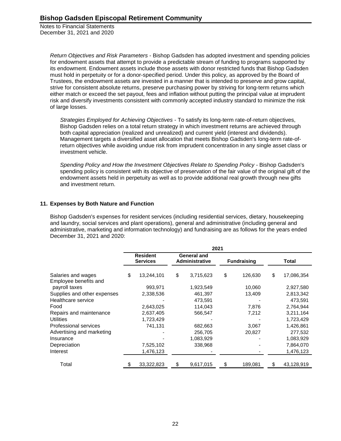> *Return Objectives and Risk Parameters* - Bishop Gadsden has adopted investment and spending policies for endowment assets that attempt to provide a predictable stream of funding to programs supported by its endowment. Endowment assets include those assets with donor restricted funds that Bishop Gadsden must hold in perpetuity or for a donor-specified period. Under this policy, as approved by the Board of Trustees, the endowment assets are invested in a manner that is intended to preserve and grow capital, strive for consistent absolute returns, preserve purchasing power by striving for long-term returns which either match or exceed the set payout, fees and inflation without putting the principal value at imprudent risk and diversify investments consistent with commonly accepted industry standard to minimize the risk of large losses.

*Strategies Employed for Achieving Objectives -* To satisfy its long-term rate-of-return objectives, Bishop Gadsden relies on a total return strategy in which investment returns are achieved through both capital appreciation (realized and unrealized) and current yield (interest and dividends). Management targets a diversified asset allocation that meets Bishop Gadsden's long-term rate-ofreturn objectives while avoiding undue risk from imprudent concentration in any single asset class or investment vehicle.

Spending Policy and How the Investment Objectives Relate to Spending Policy - Bishop Gadsden's spending policy is consistent with its objective of preservation of the fair value of the original gift of the endowment assets held in perpetuity as well as to provide additional real growth through new gifts and investment return.

# **11. Expenses by Both Nature and Function**

Bishop Gadsden's expenses for resident services (including residential services, dietary, housekeeping and laundry, social services and plant operations), general and administrative (including general and administrative, marketing and information technology) and fundraising are as follows for the years ended December 31, 2021 and 2020:

|                                             | 2021 |                                    |    |                                             |    |                    |    |            |  |
|---------------------------------------------|------|------------------------------------|----|---------------------------------------------|----|--------------------|----|------------|--|
|                                             |      | <b>Resident</b><br><b>Services</b> |    | <b>General and</b><br><b>Administrative</b> |    | <b>Fundraising</b> |    | Total      |  |
| Salaries and wages<br>Employee benefits and | \$   | 13,244,101                         | \$ | 3,715,623                                   | \$ | 126,630            | \$ | 17,086,354 |  |
| payroll taxes                               |      | 993,971                            |    | 1,923,549                                   |    | 10,060             |    | 2,927,580  |  |
| Supplies and other expenses                 |      | 2,338,536                          |    | 461,397                                     |    | 13,409             |    | 2,813,342  |  |
| Healthcare service                          |      |                                    |    | 473,591                                     |    |                    |    | 473,591    |  |
| Food                                        |      | 2,643,025                          |    | 114,043                                     |    | 7,876              |    | 2,764,944  |  |
| Repairs and maintenance                     |      | 2,637,405                          |    | 566,547                                     |    | 7,212              |    | 3,211,164  |  |
| Utilities                                   |      | 1,723,429                          |    |                                             |    |                    |    | 1,723,429  |  |
| Professional services                       |      | 741,131                            |    | 682,663                                     |    | 3,067              |    | 1,426,861  |  |
| Advertising and marketing                   |      |                                    |    | 256,705                                     |    | 20,827             |    | 277,532    |  |
| Insurance                                   |      |                                    |    | 1,083,929                                   |    |                    |    | 1,083,929  |  |
| Depreciation                                |      | 7,525,102                          |    | 338,968                                     |    |                    |    | 7,864,070  |  |
| Interest                                    |      | 1,476,123                          |    |                                             |    |                    |    | 1,476,123  |  |
| Total                                       | \$   | 33,322,823                         | \$ | 9,617,015                                   | \$ | 189,081            | \$ | 43,128,919 |  |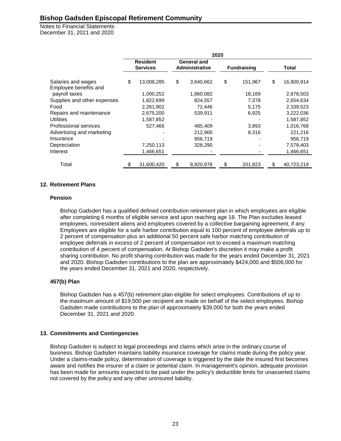Notes to Financial Statements December 31, 2021 and 2020

|                                             | 2020 |                                    |    |                                             |    |                    |    |              |  |
|---------------------------------------------|------|------------------------------------|----|---------------------------------------------|----|--------------------|----|--------------|--|
|                                             |      | <b>Resident</b><br><b>Services</b> |    | <b>General and</b><br><b>Administrative</b> |    | <b>Fundraising</b> |    | <b>Total</b> |  |
| Salaries and wages<br>Employee benefits and | \$   | 13,008,285                         | \$ | 3,640,662                                   | \$ | 151,967            | \$ | 16,800,914   |  |
| payroll taxes                               |      | 1,000,252                          |    | 1,860,082                                   |    | 18,169             |    | 2,878,503    |  |
| Supplies and other expenses                 |      | 1,822,699                          |    | 824,557                                     |    | 7,378              |    | 2,654,634    |  |
| Food                                        |      | 2,261,902                          |    | 72,446                                      |    | 5,175              |    | 2,339,523    |  |
| Repairs and maintenance                     |      | 2,675,200                          |    | 539,911                                     |    | 6,925              |    | 3,222,036    |  |
| <b>Utilities</b>                            |      | 1,587,852                          |    |                                             |    |                    |    | 1,587,852    |  |
| Professional services                       |      | 527,466                            |    | 485,409                                     |    | 3,893              |    | 1,016,768    |  |
| Advertising and marketing                   |      |                                    |    | 212,900                                     |    | 8,316              |    | 221,216      |  |
| Insurance                                   |      |                                    |    | 956,719                                     |    |                    |    | 956,719      |  |
| Depreciation                                |      | 7,250,113                          |    | 328,290                                     |    |                    |    | 7,578,403    |  |
| Interest                                    |      | 1,466,651                          |    |                                             |    |                    |    | 1,466,651    |  |
| Total                                       |      | 31,600,420                         | \$ | 8,920,976                                   | \$ | 201,823            | S  | 40,723,219   |  |

#### **12. Retirement Plans**

#### **Pension**

Bishop Gadsden has a qualified defined contribution retirement plan in which employees are eligible after completing 6 months of eligible service and upon reaching age 18. The Plan excludes leased employees, nonresident aliens and employees covered by a collective bargaining agreement, if any. Employees are eligible for a safe harbor contribution equal to 100 percent of employee deferrals up to 2 percent of compensation plus an additional 50 percent safe harbor matching contribution of employee deferrals in excess of 2 percent of compensation not to exceed a maximum matching contribution of 4 percent of compensation. At Bishop Gadsden's discretion it may make a profit sharing contribution. No profit sharing contribution was made for the years ended December 31, 2021 and 2020. Bishop Gadsden contributions to the plan are approximately \$424,000 and \$506,000 for the years ended December 31, 2021 and 2020, respectively.

# **457(b) Plan**

Bishop Gadsden has a 457(b) retirement plan eligible for select employees. Contributions of up to the maximum amount of \$19,500 per recipient are made on behalf of the select employees. Bishop Gadsden made contributions to the plan of approximately \$39,000 for both the years ended December 31, 2021 and 2020.

# **13. Commitments and Contingencies**

Bishop Gadsden is subject to legal proceedings and claims which arise in the ordinary course of business. Bishop Gadsden maintains liability insurance coverage for claims made during the policy year. Under a claims-made policy, determination of coverage is triggered by the date the insured first becomes aware and notifies the insurer of a claim or potential claim. In management's opinion, adequate provision has been made for amounts expected to be paid under the policy's deductible limits for unasserted claims not covered by the policy and any other uninsured liability.